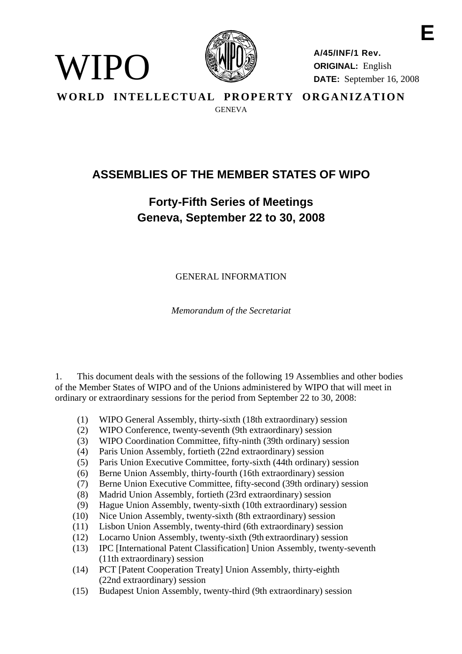

WIPO

**A/45/INF/1 Rev. ORIGINAL:** English **DATE:** September 16, 2008

**E** 

**WORLD INTELLECTUAL PROPERTY ORGANIZATION GENEVA** 

# **ASSEMBLIES OF THE MEMBER STATES OF WIPO**

# **Forty-Fifth Series of Meetings Geneva, September 22 to 30, 2008**

GENERAL INFORMATION

*Memorandum of the Secretariat* 

1. This document deals with the sessions of the following 19 Assemblies and other bodies of the Member States of WIPO and of the Unions administered by WIPO that will meet in ordinary or extraordinary sessions for the period from September 22 to 30, 2008:

- (1) WIPO General Assembly, thirty-sixth (18th extraordinary) session
- (2) WIPO Conference, twenty-seventh (9th extraordinary) session
- (3) WIPO Coordination Committee, fifty-ninth (39th ordinary) session
- (4) Paris Union Assembly, fortieth (22nd extraordinary) session
- (5) Paris Union Executive Committee, forty-sixth (44th ordinary) session
- (6) Berne Union Assembly, thirty-fourth (16th extraordinary) session
- (7) Berne Union Executive Committee, fifty-second (39th ordinary) session
- (8) Madrid Union Assembly, fortieth (23rd extraordinary) session
- (9) Hague Union Assembly, twenty-sixth (10th extraordinary) session
- (10) Nice Union Assembly, twenty-sixth (8th extraordinary) session
- (11) Lisbon Union Assembly, twenty-third (6th extraordinary) session
- (12) Locarno Union Assembly, twenty-sixth (9th extraordinary) session
- (13) IPC [International Patent Classification] Union Assembly, twenty-seventh (11th extraordinary) session
- (14) PCT [Patent Cooperation Treaty] Union Assembly, thirty-eighth (22nd extraordinary) session
- (15) Budapest Union Assembly, twenty-third (9th extraordinary) session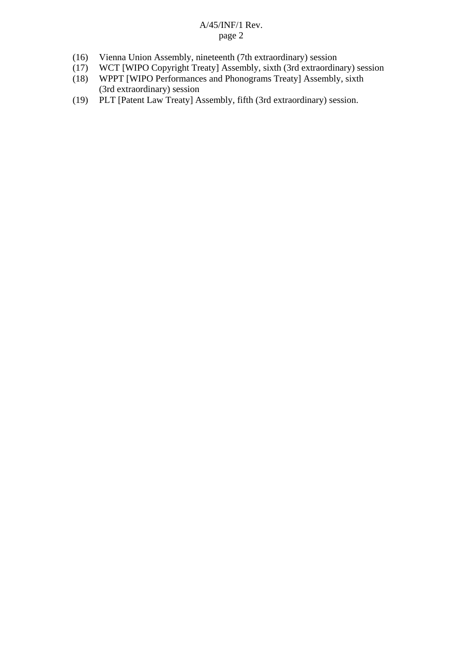- (16) Vienna Union Assembly, nineteenth (7th extraordinary) session
- (17) WCT [WIPO Copyright Treaty] Assembly, sixth (3rd extraordinary) session
- (18) WPPT [WIPO Performances and Phonograms Treaty] Assembly, sixth (3rd extraordinary) session
- (19) PLT [Patent Law Treaty] Assembly, fifth (3rd extraordinary) session.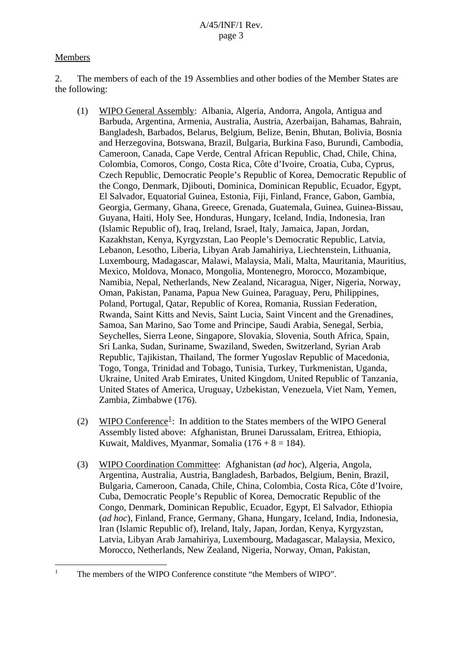# Members

<span id="page-2-0"></span> $\overline{a}$ 1

2. The members of each of the 19 Assemblies and other bodies of the Member States are the following:

- (1) WIPO General Assembly: Albania, Algeria, Andorra, Angola, Antigua and Barbuda, Argentina, Armenia, Australia, Austria, Azerbaijan, Bahamas, Bahrain, Bangladesh, Barbados, Belarus, Belgium, Belize, Benin, Bhutan, Bolivia, Bosnia and Herzegovina, Botswana, Brazil, Bulgaria, Burkina Faso, Burundi, Cambodia, Cameroon, Canada, Cape Verde, Central African Republic, Chad, Chile, China, Colombia, Comoros, Congo, Costa Rica, Côte d'Ivoire, Croatia, Cuba, Cyprus, Czech Republic, Democratic People's Republic of Korea, Democratic Republic of the Congo, Denmark, Djibouti, Dominica, Dominican Republic, Ecuador, Egypt, El Salvador, Equatorial Guinea, Estonia, Fiji, Finland, France, Gabon, Gambia, Georgia, Germany, Ghana, Greece, Grenada, Guatemala, Guinea, Guinea-Bissau, Guyana, Haiti, Holy See, Honduras, Hungary, Iceland, India, Indonesia, Iran (Islamic Republic of), Iraq, Ireland, Israel, Italy, Jamaica, Japan, Jordan, Kazakhstan, Kenya, Kyrgyzstan, Lao People's Democratic Republic, Latvia, Lebanon, Lesotho, Liberia, Libyan Arab Jamahiriya, Liechtenstein, Lithuania, Luxembourg, Madagascar, Malawi, Malaysia, Mali, Malta, Mauritania, Mauritius, Mexico, Moldova, Monaco, Mongolia, Montenegro, Morocco, Mozambique, Namibia, Nepal, Netherlands, New Zealand, Nicaragua, Niger, Nigeria, Norway, Oman, Pakistan, Panama, Papua New Guinea, Paraguay, Peru, Philippines, Poland, Portugal, Qatar, Republic of Korea, Romania, Russian Federation, Rwanda, Saint Kitts and Nevis, Saint Lucia, Saint Vincent and the Grenadines, Samoa, San Marino, Sao Tome and Principe, Saudi Arabia, Senegal, Serbia, Seychelles, Sierra Leone, Singapore, Slovakia, Slovenia, South Africa, Spain, Sri Lanka, Sudan, Suriname, Swaziland, Sweden, Switzerland, Syrian Arab Republic, Tajikistan, Thailand, The former Yugoslav Republic of Macedonia, Togo, Tonga, Trinidad and Tobago, Tunisia, Turkey, Turkmenistan, Uganda, Ukraine, United Arab Emirates, United Kingdom, United Republic of Tanzania, United States of America, Uruguay, Uzbekistan, Venezuela, Viet Nam, Yemen, Zambia, Zimbabwe (176).
- (2) WIPO Conference<sup>[1](#page-2-0)</sup>: In addition to the States members of the WIPO General Assembly listed above: Afghanistan, Brunei Darussalam, Eritrea, Ethiopia, Kuwait, Maldives, Myanmar, Somalia (176 +  $8 = 184$ ).
	- (3) WIPO Coordination Committee: Afghanistan (*ad hoc*), Algeria, Angola, Argentina, Australia, Austria, Bangladesh, Barbados, Belgium, Benin, Brazil, Bulgaria, Cameroon, Canada, Chile, China, Colombia, Costa Rica, Côte d'Ivoire, Cuba, Democratic People's Republic of Korea, Democratic Republic of the Congo, Denmark, Dominican Republic, Ecuador, Egypt, El Salvador, Ethiopia (*ad hoc*), Finland, France, Germany, Ghana, Hungary, Iceland, India, Indonesia, Iran (Islamic Republic of), Ireland, Italy, Japan, Jordan, Kenya, Kyrgyzstan, Latvia, Libyan Arab Jamahiriya, Luxembourg, Madagascar, Malaysia, Mexico, Morocco, Netherlands, New Zealand, Nigeria, Norway, Oman, Pakistan,

The members of the WIPO Conference constitute "the Members of WIPO".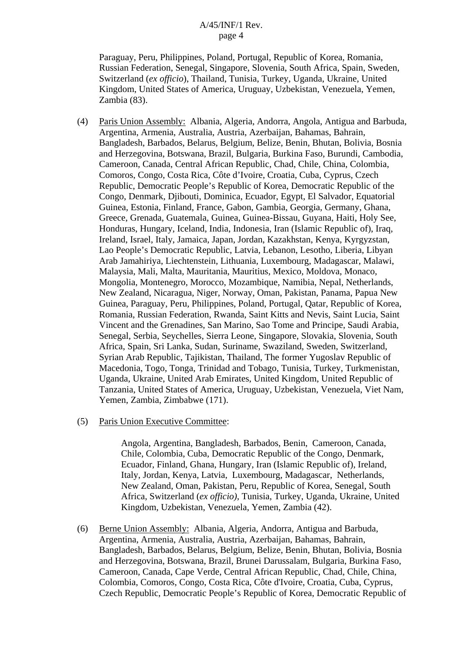Paraguay, Peru, Philippines, Poland, Portugal, Republic of Korea, Romania, Russian Federation, Senegal, Singapore, Slovenia, South Africa, Spain, Sweden, Switzerland (*ex officio*), Thailand, Tunisia, Turkey, Uganda, Ukraine, United Kingdom, United States of America, Uruguay, Uzbekistan, Venezuela, Yemen, Zambia (83).

- (4) Paris Union Assembly: Albania, Algeria, Andorra, Angola, Antigua and Barbuda, Argentina, Armenia, Australia, Austria, Azerbaijan, Bahamas, Bahrain, Bangladesh, Barbados, Belarus, Belgium, Belize, Benin, Bhutan, Bolivia, Bosnia and Herzegovina, Botswana, Brazil, Bulgaria, Burkina Faso, Burundi, Cambodia, Cameroon, Canada, Central African Republic, Chad, Chile, China, Colombia, Comoros, Congo, Costa Rica, Côte d'Ivoire, Croatia, Cuba, Cyprus, Czech Republic, Democratic People's Republic of Korea, Democratic Republic of the Congo, Denmark, Djibouti, Dominica, Ecuador, Egypt, El Salvador, Equatorial Guinea, Estonia, Finland, France, Gabon, Gambia, Georgia, Germany, Ghana, Greece, Grenada, Guatemala, Guinea, Guinea-Bissau, Guyana, Haiti, Holy See, Honduras, Hungary, Iceland, India, Indonesia, Iran (Islamic Republic of), Iraq, Ireland, Israel, Italy, Jamaica, Japan, Jordan, Kazakhstan, Kenya, Kyrgyzstan, Lao People's Democratic Republic, Latvia, Lebanon, Lesotho, Liberia, Libyan Arab Jamahiriya, Liechtenstein, Lithuania, Luxembourg, Madagascar, Malawi, Malaysia, Mali, Malta, Mauritania, Mauritius, Mexico, Moldova, Monaco, Mongolia, Montenegro, Morocco, Mozambique, Namibia, Nepal, Netherlands, New Zealand, Nicaragua, Niger, Norway, Oman, Pakistan, Panama, Papua New Guinea, Paraguay, Peru, Philippines, Poland, Portugal, Qatar, Republic of Korea, Romania, Russian Federation, Rwanda, Saint Kitts and Nevis, Saint Lucia, Saint Vincent and the Grenadines, San Marino, Sao Tome and Principe, Saudi Arabia, Senegal, Serbia, Seychelles, Sierra Leone, Singapore, Slovakia, Slovenia, South Africa, Spain, Sri Lanka, Sudan, Suriname, Swaziland, Sweden, Switzerland, Syrian Arab Republic, Tajikistan, Thailand, The former Yugoslav Republic of Macedonia, Togo, Tonga, Trinidad and Tobago, Tunisia, Turkey, Turkmenistan, Uganda, Ukraine, United Arab Emirates, United Kingdom, United Republic of Tanzania, United States of America, Uruguay, Uzbekistan, Venezuela, Viet Nam, Yemen, Zambia, Zimbabwe (171).
- (5) Paris Union Executive Committee:

 Angola, Argentina, Bangladesh, Barbados, Benin, Cameroon, Canada, Chile, Colombia, Cuba, Democratic Republic of the Congo, Denmark, Ecuador, Finland, Ghana, Hungary, Iran (Islamic Republic of), Ireland, Italy, Jordan, Kenya, Latvia, Luxembourg, Madagascar, Netherlands, New Zealand, Oman, Pakistan, Peru, Republic of Korea, Senegal, South Africa, Switzerland (*ex officio)*, Tunisia, Turkey, Uganda, Ukraine, United Kingdom, Uzbekistan, Venezuela, Yemen, Zambia (42).

 (6) Berne Union Assembly: Albania, Algeria, Andorra, Antigua and Barbuda, Argentina, Armenia, Australia, Austria, Azerbaijan, Bahamas, Bahrain, Bangladesh, Barbados, Belarus, Belgium, Belize, Benin, Bhutan, Bolivia, Bosnia and Herzegovina, Botswana, Brazil, Brunei Darussalam, Bulgaria, Burkina Faso, Cameroon, Canada, Cape Verde, Central African Republic, Chad, Chile, China, Colombia, Comoros, Congo, Costa Rica, Côte d'Ivoire, Croatia, Cuba, Cyprus, Czech Republic, Democratic People's Republic of Korea, Democratic Republic of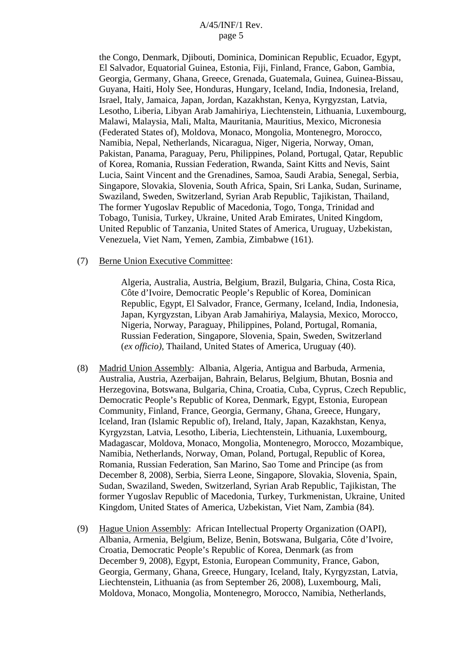the Congo, Denmark, Djibouti, Dominica, Dominican Republic, Ecuador, Egypt, El Salvador, Equatorial Guinea, Estonia, Fiji, Finland, France, Gabon, Gambia, Georgia, Germany, Ghana, Greece, Grenada, Guatemala, Guinea, Guinea-Bissau, Guyana, Haiti, Holy See, Honduras, Hungary, Iceland, India, Indonesia, Ireland, Israel, Italy, Jamaica, Japan, Jordan, Kazakhstan, Kenya, Kyrgyzstan, Latvia, Lesotho, Liberia, Libyan Arab Jamahiriya, Liechtenstein, Lithuania, Luxembourg, Malawi, Malaysia, Mali, Malta, Mauritania, Mauritius, Mexico, Micronesia (Federated States of), Moldova, Monaco, Mongolia, Montenegro, Morocco, Namibia, Nepal, Netherlands, Nicaragua, Niger, Nigeria, Norway, Oman, Pakistan, Panama, Paraguay, Peru, Philippines, Poland, Portugal, Qatar, Republic of Korea, Romania, Russian Federation, Rwanda, Saint Kitts and Nevis, Saint Lucia, Saint Vincent and the Grenadines, Samoa, Saudi Arabia, Senegal, Serbia, Singapore, Slovakia, Slovenia, South Africa, Spain, Sri Lanka, Sudan, Suriname, Swaziland, Sweden, Switzerland, Syrian Arab Republic, Tajikistan, Thailand, The former Yugoslav Republic of Macedonia, Togo, Tonga, Trinidad and Tobago, Tunisia, Turkey, Ukraine, United Arab Emirates, United Kingdom, United Republic of Tanzania, United States of America, Uruguay, Uzbekistan, Venezuela, Viet Nam, Yemen, Zambia, Zimbabwe (161).

(7) Berne Union Executive Committee:

 Algeria, Australia, Austria, Belgium, Brazil, Bulgaria, China, Costa Rica, Côte d'Ivoire, Democratic People's Republic of Korea, Dominican Republic, Egypt, El Salvador, France, Germany, Iceland, India, Indonesia, Japan, Kyrgyzstan, Libyan Arab Jamahiriya, Malaysia, Mexico, Morocco, Nigeria, Norway, Paraguay, Philippines, Poland, Portugal, Romania, Russian Federation, Singapore, Slovenia, Spain, Sweden, Switzerland (*ex officio)*, Thailand, United States of America, Uruguay (40).

- (8) Madrid Union Assembly: Albania, Algeria, Antigua and Barbuda, Armenia, Australia, Austria, Azerbaijan, Bahrain, Belarus, Belgium, Bhutan, Bosnia and Herzegovina, Botswana, Bulgaria, China, Croatia, Cuba, Cyprus, Czech Republic, Democratic People's Republic of Korea, Denmark, Egypt, Estonia, European Community, Finland, France, Georgia, Germany, Ghana, Greece, Hungary, Iceland, Iran (Islamic Republic of), Ireland, Italy, Japan, Kazakhstan, Kenya, Kyrgyzstan, Latvia, Lesotho, Liberia, Liechtenstein, Lithuania, Luxembourg, Madagascar, Moldova, Monaco, Mongolia, Montenegro, Morocco, Mozambique, Namibia, Netherlands, Norway, Oman, Poland, Portugal, Republic of Korea, Romania, Russian Federation, San Marino, Sao Tome and Principe (as from December 8, 2008), Serbia, Sierra Leone, Singapore, Slovakia, Slovenia, Spain, Sudan, Swaziland, Sweden, Switzerland, Syrian Arab Republic, Tajikistan, The former Yugoslav Republic of Macedonia, Turkey, Turkmenistan, Ukraine, United Kingdom, United States of America, Uzbekistan, Viet Nam, Zambia (84).
- (9) Hague Union Assembly: African Intellectual Property Organization (OAPI), Albania, Armenia, Belgium, Belize, Benin, Botswana, Bulgaria, Côte d'Ivoire, Croatia, Democratic People's Republic of Korea, Denmark (as from December 9, 2008), Egypt, Estonia, European Community, France, Gabon, Georgia, Germany, Ghana, Greece, Hungary, Iceland, Italy, Kyrgyzstan, Latvia, Liechtenstein, Lithuania (as from September 26, 2008), Luxembourg, Mali, Moldova, Monaco, Mongolia, Montenegro, Morocco, Namibia, Netherlands,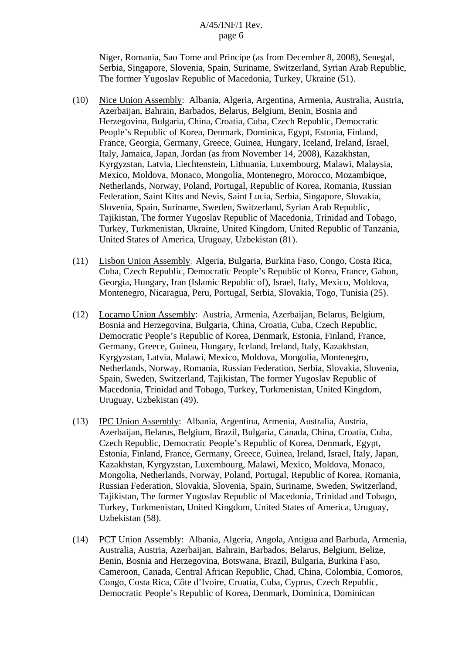Niger, Romania, Sao Tome and Principe (as from December 8, 2008), Senegal, Serbia, Singapore, Slovenia, Spain, Suriname, Switzerland, Syrian Arab Republic, The former Yugoslav Republic of Macedonia, Turkey, Ukraine (51).

- (10) Nice Union Assembly: Albania, Algeria, Argentina, Armenia, Australia, Austria, Azerbaijan, Bahrain, Barbados, Belarus, Belgium, Benin, Bosnia and Herzegovina, Bulgaria, China, Croatia, Cuba, Czech Republic, Democratic People's Republic of Korea, Denmark, Dominica, Egypt, Estonia, Finland, France, Georgia, Germany, Greece, Guinea, Hungary, Iceland, Ireland, Israel, Italy, Jamaica, Japan, Jordan (as from November 14, 2008), Kazakhstan, Kyrgyzstan, Latvia, Liechtenstein, Lithuania, Luxembourg, Malawi, Malaysia, Mexico, Moldova, Monaco, Mongolia, Montenegro, Morocco, Mozambique, Netherlands, Norway, Poland, Portugal, Republic of Korea, Romania, Russian Federation, Saint Kitts and Nevis, Saint Lucia, Serbia, Singapore, Slovakia, Slovenia, Spain, Suriname, Sweden, Switzerland, Syrian Arab Republic, Tajikistan, The former Yugoslav Republic of Macedonia, Trinidad and Tobago, Turkey, Turkmenistan, Ukraine, United Kingdom, United Republic of Tanzania, United States of America, Uruguay, Uzbekistan (81).
- (11) Lisbon Union Assembly: Algeria, Bulgaria, Burkina Faso, Congo, Costa Rica, Cuba, Czech Republic, Democratic People's Republic of Korea, France, Gabon, Georgia, Hungary, Iran (Islamic Republic of), Israel, Italy, Mexico, Moldova, Montenegro, Nicaragua, Peru, Portugal, Serbia, Slovakia, Togo, Tunisia (25).
- (12) Locarno Union Assembly: Austria, Armenia, Azerbaijan, Belarus, Belgium, Bosnia and Herzegovina, Bulgaria, China, Croatia, Cuba, Czech Republic, Democratic People's Republic of Korea, Denmark, Estonia, Finland, France, Germany, Greece, Guinea, Hungary, Iceland, Ireland, Italy, Kazakhstan, Kyrgyzstan, Latvia, Malawi, Mexico, Moldova, Mongolia, Montenegro, Netherlands, Norway, Romania, Russian Federation, Serbia, Slovakia, Slovenia, Spain, Sweden, Switzerland, Tajikistan, The former Yugoslav Republic of Macedonia, Trinidad and Tobago, Turkey, Turkmenistan, United Kingdom, Uruguay, Uzbekistan (49).
- (13) IPC Union Assembly: Albania, Argentina, Armenia, Australia, Austria, Azerbaijan, Belarus, Belgium, Brazil, Bulgaria, Canada, China, Croatia, Cuba, Czech Republic, Democratic People's Republic of Korea, Denmark, Egypt, Estonia, Finland, France, Germany, Greece, Guinea, Ireland, Israel, Italy, Japan, Kazakhstan, Kyrgyzstan, Luxembourg, Malawi, Mexico, Moldova, Monaco, Mongolia, Netherlands, Norway, Poland, Portugal, Republic of Korea, Romania, Russian Federation, Slovakia, Slovenia, Spain, Suriname, Sweden, Switzerland, Tajikistan, The former Yugoslav Republic of Macedonia, Trinidad and Tobago, Turkey, Turkmenistan, United Kingdom, United States of America, Uruguay, Uzbekistan (58).
- (14) PCT Union Assembly: Albania, Algeria, Angola, Antigua and Barbuda, Armenia, Australia, Austria, Azerbaijan, Bahrain, Barbados, Belarus, Belgium, Belize, Benin, Bosnia and Herzegovina, Botswana, Brazil, Bulgaria, Burkina Faso, Cameroon, Canada, Central African Republic, Chad, China, Colombia, Comoros, Congo, Costa Rica, Côte d'Ivoire, Croatia, Cuba, Cyprus, Czech Republic, Democratic People's Republic of Korea, Denmark, Dominica, Dominican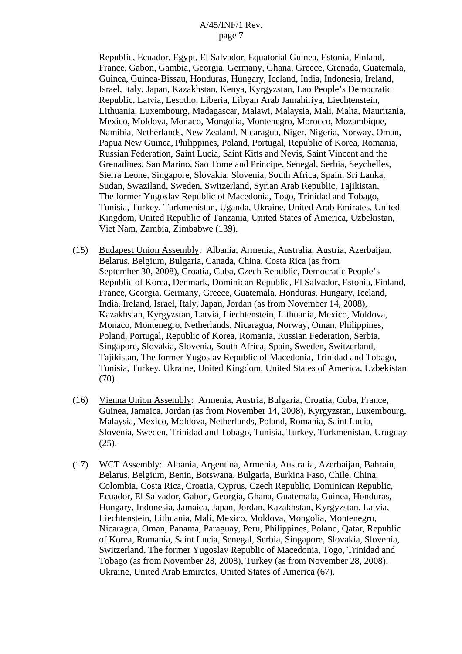Republic, Ecuador, Egypt, El Salvador, Equatorial Guinea, Estonia, Finland, France, Gabon, Gambia, Georgia, Germany, Ghana, Greece, Grenada, Guatemala, Guinea, Guinea-Bissau, Honduras, Hungary, Iceland, India, Indonesia, Ireland, Israel, Italy, Japan, Kazakhstan, Kenya, Kyrgyzstan, Lao People's Democratic Republic, Latvia, Lesotho, Liberia, Libyan Arab Jamahiriya, Liechtenstein, Lithuania, Luxembourg, Madagascar, Malawi, Malaysia, Mali, Malta, Mauritania, Mexico, Moldova, Monaco, Mongolia, Montenegro, Morocco, Mozambique, Namibia, Netherlands, New Zealand, Nicaragua, Niger, Nigeria, Norway, Oman, Papua New Guinea, Philippines, Poland, Portugal, Republic of Korea, Romania, Russian Federation, Saint Lucia, Saint Kitts and Nevis, Saint Vincent and the Grenadines, San Marino, Sao Tome and Principe, Senegal, Serbia, Seychelles, Sierra Leone, Singapore, Slovakia, Slovenia, South Africa, Spain, Sri Lanka, Sudan, Swaziland, Sweden, Switzerland, Syrian Arab Republic, Tajikistan, The former Yugoslav Republic of Macedonia, Togo, Trinidad and Tobago, Tunisia, Turkey, Turkmenistan, Uganda, Ukraine, United Arab Emirates, United Kingdom, United Republic of Tanzania, United States of America, Uzbekistan, Viet Nam, Zambia, Zimbabwe (139).

- (15) Budapest Union Assembly: Albania, Armenia, Australia, Austria, Azerbaijan, Belarus, Belgium, Bulgaria, Canada, China, Costa Rica (as from September 30, 2008), Croatia, Cuba, Czech Republic, Democratic People's Republic of Korea, Denmark, Dominican Republic, El Salvador, Estonia, Finland, France, Georgia, Germany, Greece, Guatemala, Honduras, Hungary, Iceland, India, Ireland, Israel, Italy, Japan, Jordan (as from November 14, 2008), Kazakhstan, Kyrgyzstan, Latvia, Liechtenstein, Lithuania, Mexico, Moldova, Monaco, Montenegro, Netherlands, Nicaragua, Norway, Oman, Philippines, Poland, Portugal, Republic of Korea, Romania, Russian Federation, Serbia, Singapore, Slovakia, Slovenia, South Africa, Spain, Sweden, Switzerland, Tajikistan, The former Yugoslav Republic of Macedonia, Trinidad and Tobago, Tunisia, Turkey, Ukraine, United Kingdom, United States of America, Uzbekistan (70).
- (16) Vienna Union Assembly: Armenia, Austria, Bulgaria, Croatia, Cuba, France, Guinea, Jamaica, Jordan (as from November 14, 2008), Kyrgyzstan, Luxembourg, Malaysia, Mexico, Moldova, Netherlands, Poland, Romania, Saint Lucia, Slovenia, Sweden, Trinidad and Tobago, Tunisia, Turkey, Turkmenistan, Uruguay (25).
- (17) WCT Assembly: Albania, Argentina, Armenia, Australia, Azerbaijan, Bahrain, Belarus, Belgium, Benin, Botswana, Bulgaria, Burkina Faso, Chile, China, Colombia, Costa Rica, Croatia, Cyprus, Czech Republic, Dominican Republic, Ecuador, El Salvador, Gabon, Georgia, Ghana, Guatemala, Guinea, Honduras, Hungary, Indonesia, Jamaica, Japan, Jordan, Kazakhstan, Kyrgyzstan, Latvia, Liechtenstein, Lithuania, Mali, Mexico, Moldova, Mongolia, Montenegro, Nicaragua, Oman, Panama, Paraguay, Peru, Philippines, Poland, Qatar, Republic of Korea, Romania, Saint Lucia, Senegal, Serbia, Singapore, Slovakia, Slovenia, Switzerland, The former Yugoslav Republic of Macedonia, Togo, Trinidad and Tobago (as from November 28, 2008), Turkey (as from November 28, 2008), Ukraine, United Arab Emirates, United States of America (67).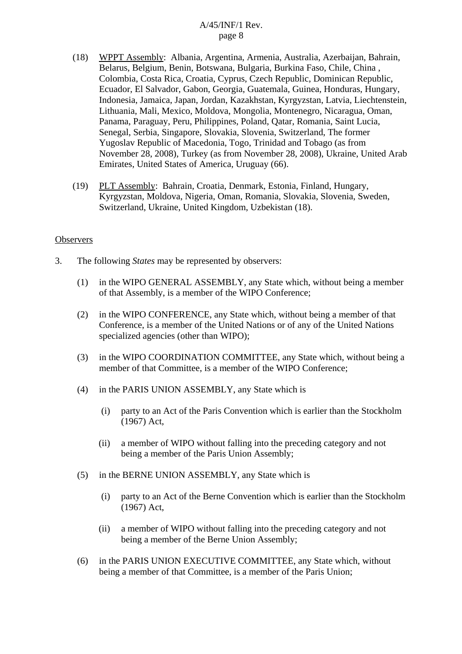- (18) WPPT Assembly: Albania, Argentina, Armenia, Australia, Azerbaijan, Bahrain, Belarus, Belgium, Benin, Botswana, Bulgaria, Burkina Faso, Chile, China , Colombia, Costa Rica, Croatia, Cyprus, Czech Republic, Dominican Republic, Ecuador, El Salvador, Gabon, Georgia, Guatemala, Guinea, Honduras, Hungary, Indonesia, Jamaica, Japan, Jordan, Kazakhstan, Kyrgyzstan, Latvia, Liechtenstein, Lithuania, Mali, Mexico, Moldova, Mongolia, Montenegro, Nicaragua, Oman, Panama, Paraguay, Peru, Philippines, Poland, Qatar, Romania, Saint Lucia, Senegal, Serbia, Singapore, Slovakia, Slovenia, Switzerland, The former Yugoslav Republic of Macedonia, Togo, Trinidad and Tobago (as from November 28, 2008), Turkey (as from November 28, 2008), Ukraine, United Arab Emirates, United States of America, Uruguay (66).
- (19) PLT Assembly: Bahrain, Croatia, Denmark, Estonia, Finland, Hungary, Kyrgyzstan, Moldova, Nigeria, Oman, Romania, Slovakia, Slovenia, Sweden, Switzerland, Ukraine, United Kingdom, Uzbekistan (18).

#### **Observers**

- 3. The following *States* may be represented by observers:
	- (1) in the WIPO GENERAL ASSEMBLY, any State which, without being a member of that Assembly, is a member of the WIPO Conference;
	- (2) in the WIPO CONFERENCE, any State which, without being a member of that Conference, is a member of the United Nations or of any of the United Nations specialized agencies (other than WIPO);
	- (3) in the WIPO COORDINATION COMMITTEE, any State which, without being a member of that Committee, is a member of the WIPO Conference;
	- (4) in the PARIS UNION ASSEMBLY, any State which is
		- (i) party to an Act of the Paris Convention which is earlier than the Stockholm (1967) Act,
		- (ii) a member of WIPO without falling into the preceding category and not being a member of the Paris Union Assembly;
	- (5) in the BERNE UNION ASSEMBLY, any State which is
		- (i) party to an Act of the Berne Convention which is earlier than the Stockholm (1967) Act,
		- (ii) a member of WIPO without falling into the preceding category and not being a member of the Berne Union Assembly;
	- (6) in the PARIS UNION EXECUTIVE COMMITTEE, any State which, without being a member of that Committee, is a member of the Paris Union;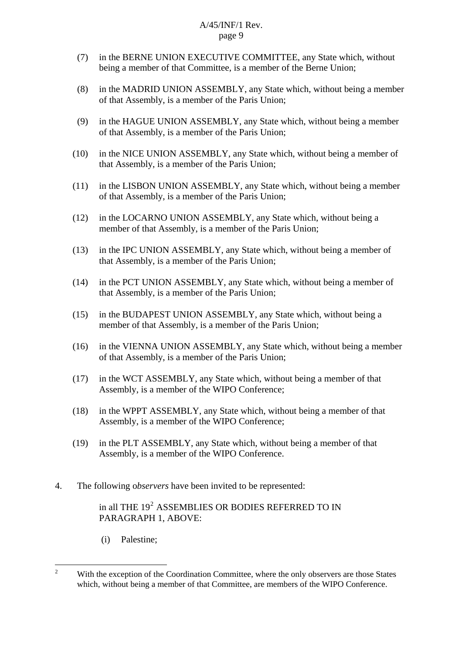- (7) in the BERNE UNION EXECUTIVE COMMITTEE, any State which, without being a member of that Committee, is a member of the Berne Union;
- (8) in the MADRID UNION ASSEMBLY, any State which, without being a member of that Assembly, is a member of the Paris Union;
- (9) in the HAGUE UNION ASSEMBLY, any State which, without being a member of that Assembly, is a member of the Paris Union;
- (10) in the NICE UNION ASSEMBLY, any State which, without being a member of that Assembly, is a member of the Paris Union;
- (11) in the LISBON UNION ASSEMBLY, any State which, without being a member of that Assembly, is a member of the Paris Union;
- (12) in the LOCARNO UNION ASSEMBLY, any State which, without being a member of that Assembly, is a member of the Paris Union;
- (13) in the IPC UNION ASSEMBLY, any State which, without being a member of that Assembly, is a member of the Paris Union;
- (14) in the PCT UNION ASSEMBLY, any State which, without being a member of that Assembly, is a member of the Paris Union;
- (15) in the BUDAPEST UNION ASSEMBLY, any State which, without being a member of that Assembly, is a member of the Paris Union;
- (16) in the VIENNA UNION ASSEMBLY, any State which, without being a member of that Assembly, is a member of the Paris Union;
- (17) in the WCT ASSEMBLY, any State which, without being a member of that Assembly, is a member of the WIPO Conference;
- (18) in the WPPT ASSEMBLY, any State which, without being a member of that Assembly, is a member of the WIPO Conference;
- (19) in the PLT ASSEMBLY, any State which, without being a member of that Assembly, is a member of the WIPO Conference.
- 4. The following o*bservers* have been invited to be represented:

# in all THE  $19<sup>2</sup>$  $19<sup>2</sup>$  $19<sup>2</sup>$  ASSEMBLIES OR BODIES REFERRED TO IN PARAGRAPH 1, ABOVE:

(i) Palestine;

<span id="page-8-0"></span> $\frac{1}{2}$  With the exception of the Coordination Committee, where the only observers are those States which, without being a member of that Committee, are members of the WIPO Conference.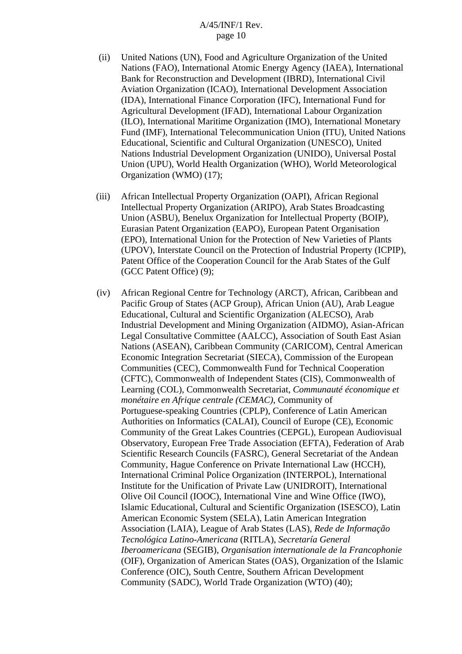- (ii) United Nations (UN), Food and Agriculture Organization of the United Nations (FAO), International Atomic Energy Agency (IAEA), International Bank for Reconstruction and Development (IBRD), International Civil Aviation Organization (ICAO), International Development Association (IDA), International Finance Corporation (IFC), International Fund for Agricultural Development (IFAD), International Labour Organization (ILO), International Maritime Organization (IMO), International Monetary Fund (IMF), International Telecommunication Union (ITU), United Nations Educational, Scientific and Cultural Organization (UNESCO), United Nations Industrial Development Organization (UNIDO), Universal Postal Union (UPU), World Health Organization (WHO), World Meteorological Organization (WMO) (17);
- (iii) African Intellectual Property Organization (OAPI), African Regional Intellectual Property Organization (ARIPO), Arab States Broadcasting Union (ASBU), Benelux Organization for Intellectual Property (BOIP), Eurasian Patent Organization (EAPO), European Patent Organisation (EPO), International Union for the Protection of New Varieties of Plants (UPOV), Interstate Council on the Protection of Industrial Property (ICPIP), Patent Office of the Cooperation Council for the Arab States of the Gulf (GCC Patent Office) (9);
- (iv) African Regional Centre for Technology (ARCT), African, Caribbean and Pacific Group of States (ACP Group), African Union (AU), Arab League Educational, Cultural and Scientific Organization (ALECSO), Arab Industrial Development and Mining Organization (AIDMO), Asian-African Legal Consultative Committee (AALCC), Association of South East Asian Nations (ASEAN), Caribbean Community (CARICOM), Central American Economic Integration Secretariat (SIECA), Commission of the European Communities (CEC), Commonwealth Fund for Technical Cooperation (CFTC), Commonwealth of Independent States (CIS), Commonwealth of Learning (COL), Commonwealth Secretariat, *Communauté économique et monétaire en Afrique centrale (CEMAC)*, Community of Portuguese-speaking Countries (CPLP), Conference of Latin American Authorities on Informatics (CALAI), Council of Europe (CE), Economic Community of the Great Lakes Countries (CEPGL), European Audiovisual Observatory, European Free Trade Association (EFTA), Federation of Arab Scientific Research Councils (FASRC), General Secretariat of the Andean Community, Hague Conference on Private International Law (HCCH), International Criminal Police Organization (INTERPOL), International Institute for the Unification of Private Law (UNIDROIT), International Olive Oil Council (IOOC), International Vine and Wine Office (IWO), Islamic Educational, Cultural and Scientific Organization (ISESCO), Latin American Economic System (SELA), Latin American Integration Association (LAIA), League of Arab States (LAS), *Rede de Informação Tecnológica Latino-Americana* (RITLA), *Secretaría General Iberoamericana* (SEGIB), *Organisation internationale de la Francophonie*  (OIF), Organization of American States (OAS), Organization of the Islamic Conference (OIC), South Centre, Southern African Development Community (SADC), World Trade Organization (WTO) (40);